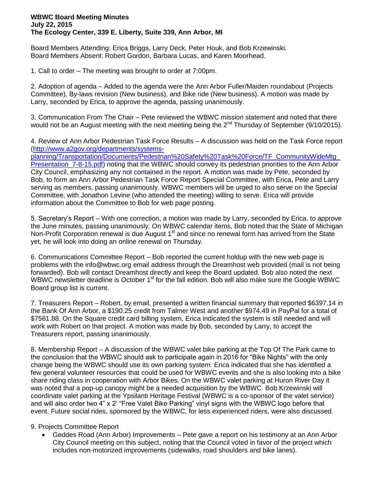## **WBWC Board Meeting Minutes July 22, 2015 The Ecology Center, 339 E. Liberty, Suite 339, Ann Arbor, MI**

Board Members Attending: Erica Briggs, Larry Deck, Peter Houk, and Bob Krzewinski. Board Members Absent: Robert Gordon, Barbara Lucas, and Karen Moorhead.

1. Call to order – The meeting was brought to order at 7:00pm.

2. Adoption of agenda – Added to the agenda were the Ann Arbor Fuller/Maiden roundabout (Projects Committee), By-laws revision (New business), and Bike ride (New business). A motion was made by Larry, seconded by Erica, to approve the agenda, passing unanimously.

3. Communication From The Chair – Pete reviewed the WBWC mission statement and noted that there would not be an August meeting with the next meeting being the 2<sup>nd</sup> Thursday of September (9/10/2015).

4. Review of Ann Arbor Pedestrian Task Force Results – A discussion was held on the Task Force report [\(http://www.a2gov.org/departments/systems](http://www.a2gov.org/departments/systems-planning/Transportation/Documents/Pedestrian%20Safety%20Task%20Force/TF_CommunityWideMtg_Presentation_7-8-15.pdf)[planning/Transportation/Documents/Pedestrian%20Safety%20Task%20Force/TF\\_CommunityWideMtg\\_](http://www.a2gov.org/departments/systems-planning/Transportation/Documents/Pedestrian%20Safety%20Task%20Force/TF_CommunityWideMtg_Presentation_7-8-15.pdf) [Presentation\\_7-8-15.pdf\)](http://www.a2gov.org/departments/systems-planning/Transportation/Documents/Pedestrian%20Safety%20Task%20Force/TF_CommunityWideMtg_Presentation_7-8-15.pdf) noting that the WBWC should convey its pedestrian priorities to the Ann Arbor City Council, emphasizing any not contained in the report. A motion was made by Pete, seconded by Bob, to form an Ann Arbor Pedestrian Task Force Report Special Committee, with Erica, Pete and Larry serving as members, passing unanimously. WBWC members will be urged to also serve on the Special Committee, with Jonathon Levine (who attended the meeting) willing to serve. Erica will provide information about the Committee to Bob for web page posting.

5. Secretary's Report – With one correction, a motion was made by Larry, seconded by Erica, to approve the June minutes, passing unanimously. On WBWC calendar items, Bob noted that the State of Michigan Non-Profit Corporation renewal is due August 1<sup>st</sup> and since no renewal form has arrived from the State yet, he will look into doing an online renewal on Thursday.

6. Communications Committee Report – Bob reported the current holdup with the new web page is problems with the info@wbwc.org email address through the Dreamhost web provided (mail is not being forwarded). Bob will contact Dreamhost directly and keep the Board updated. Bob also noted the next WBWC newsletter deadline is October 1<sup>st</sup> for the fall edition. Bob will also make sure the Google WBWC Board group list is current.

7. Treasurers Report – Robert, by email, presented a written financial summary that reported \$6397.14 in the Bank Of Ann Arbor, a \$190.25 credit from Talmer West and another \$974.49 in PayPal for a total of \$7561.88. On the Square credit card billing system, Erica indicated the system is still needed and will work with Robert on that project. A motion was made by Bob, seconded by Larry, to accept the Treasurers report, passing unanimously.

8. Membership Report – A discussion of the WBWC valet bike parking at the Top Of The Park came to the conclusion that the WBWC should ask to participate again in 2016 for "Bike Nights" with the only change being the WBWC should use its own parking system. Erica indicated that she has identified a few general volunteer resources that could be used for WBWC events and she is also looking into a bike share riding class in cooperation with Arbor Bikes. On the WBWC valet parking at Huron River Day it was noted that a pop-up canopy might be a needed acquisition by the WBWC. Bob Krzewinski will coordinate valet parking at the Ypsilanti Heritage Festival (WBWC is a co-sponsor of the valet service) and will also order two 4" x 2' "Free Valet Bike Parking" vinyl signs with the WBWC logo before that event. Future social rides, sponsored by the WBWC, for less experienced riders, were also discussed.

## 9. Projects Committee Report

 Geddes Road (Ann Arbor) Improvements – Pete gave a report on his testimony at an Ann Arbor City Council meeting on this subject, noting that the Council voted in favor of the project which includes non-motorized improvements (sidewalks, road shoulders and bike lanes).